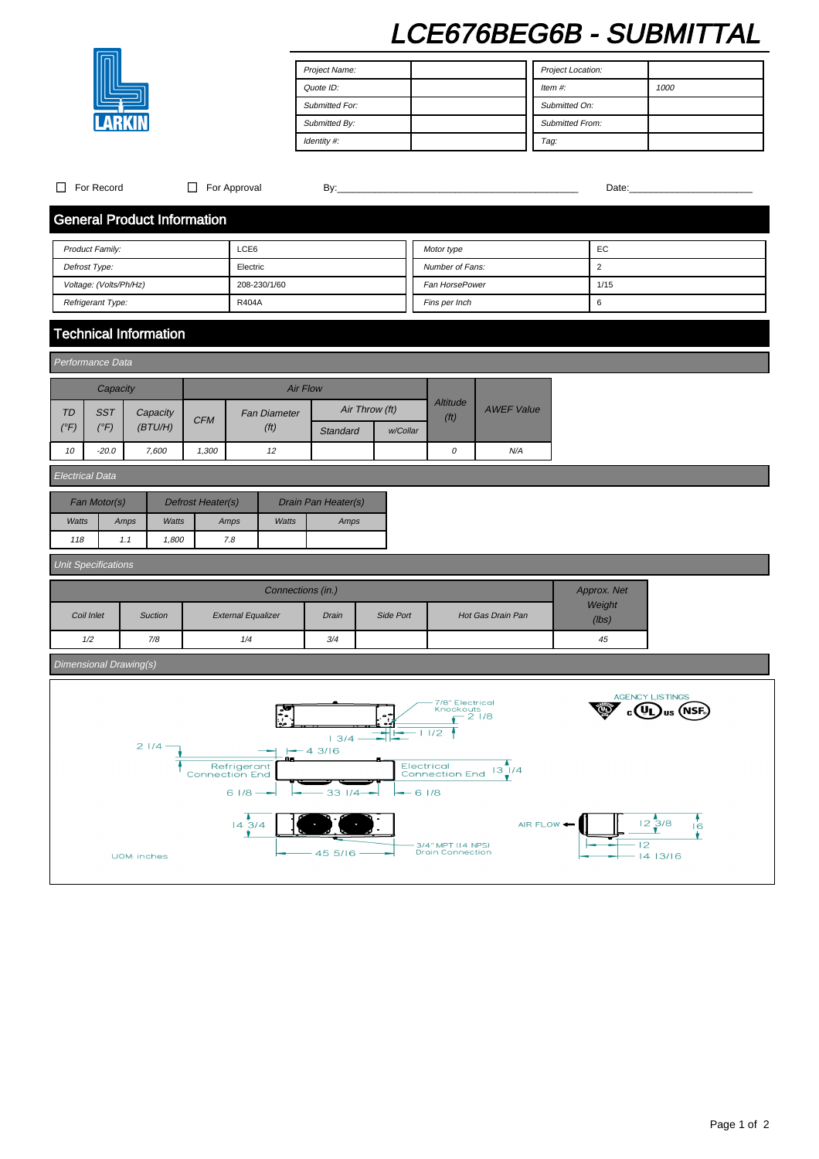# LCE676BEG6B - SUBMITTAL



Project Name: Quote ID: Submitted For: Submitted By: Identity #: Project Location: Item #: 1000 Submitted On: Submitted From: Tag:

| $\Box$                                                   | For Record                 |             |                              | $\Box$ For Approval                |                                                     |                   | By:                       |                      |          |                                                                                             |                   |            |                  |                                                                                                  |
|----------------------------------------------------------|----------------------------|-------------|------------------------------|------------------------------------|-----------------------------------------------------|-------------------|---------------------------|----------------------|----------|---------------------------------------------------------------------------------------------|-------------------|------------|------------------|--------------------------------------------------------------------------------------------------|
|                                                          |                            |             |                              | <b>General Product Information</b> |                                                     |                   |                           |                      |          |                                                                                             |                   |            |                  |                                                                                                  |
|                                                          | Product Family:            |             |                              |                                    | LCE6                                                |                   |                           |                      |          | Motor type                                                                                  |                   |            | EC               |                                                                                                  |
| Defrost Type:                                            |                            |             |                              |                                    | Electric                                            |                   |                           |                      |          | Number of Fans:                                                                             |                   |            | $\overline{2}$   |                                                                                                  |
| Voltage: (Volts/Ph/Hz)                                   |                            |             |                              |                                    | 208-230/1/60                                        |                   |                           |                      |          | Fan HorsePower                                                                              |                   |            | 1/15             |                                                                                                  |
|                                                          | Refrigerant Type:          |             |                              |                                    | R404A                                               |                   |                           |                      |          | Fins per Inch                                                                               |                   |            | 6                |                                                                                                  |
|                                                          |                            |             | <b>Technical Information</b> |                                    |                                                     |                   |                           |                      |          |                                                                                             |                   |            |                  |                                                                                                  |
| Performance Data                                         |                            |             |                              |                                    |                                                     |                   |                           |                      |          |                                                                                             |                   |            |                  |                                                                                                  |
|                                                          | Capacity                   |             |                              | <b>Air Flow</b>                    |                                                     |                   |                           |                      |          |                                                                                             |                   |            |                  |                                                                                                  |
| <b>TD</b>                                                | <b>SST</b><br>Capacity     |             |                              |                                    | <b>Fan Diameter</b><br>(f <sup>t</sup> )            |                   | Air Throw (ft)            |                      |          | <b>Altitude</b>                                                                             | <b>AWEF Value</b> |            |                  |                                                                                                  |
| $(^{\circ}F)$                                            | $(^{\circ}F)$              | (BT U/H)    |                              | <b>CFM</b>                         |                                                     |                   | Standard                  |                      | w/Collar | (f <sup>t</sup> )                                                                           |                   |            |                  |                                                                                                  |
| 10                                                       | $-20.0$                    |             | 7,600                        | 1,300                              |                                                     | 12                |                           |                      |          | $\cal O$                                                                                    | N/A               |            |                  |                                                                                                  |
| Electrical Data                                          |                            |             |                              |                                    |                                                     |                   |                           |                      |          |                                                                                             |                   |            |                  |                                                                                                  |
| Fan Motor(s)<br>Defrost Heater(s)<br>Drain Pan Heater(s) |                            |             |                              |                                    |                                                     |                   |                           |                      |          |                                                                                             |                   |            |                  |                                                                                                  |
| Watts<br>Amps                                            |                            |             | Watts                        | Amps<br>Watts                      |                                                     |                   | Amps                      |                      |          |                                                                                             |                   |            |                  |                                                                                                  |
| 1,800<br>118<br>1.1                                      |                            |             |                              | 7.8                                |                                                     |                   |                           |                      |          |                                                                                             |                   |            |                  |                                                                                                  |
|                                                          | <b>Unit Specifications</b> |             |                              |                                    |                                                     |                   |                           |                      |          |                                                                                             |                   |            |                  |                                                                                                  |
|                                                          |                            |             |                              |                                    |                                                     | Connections (in.) |                           |                      |          |                                                                                             |                   |            | Approx. Net      |                                                                                                  |
|                                                          | Coil Inlet                 |             | Suction                      | <b>External Equalizer</b>          |                                                     |                   | Drain<br>Side Port        |                      |          | Hot Gas Drain Pan                                                                           |                   |            | Weight<br>(lbs)  |                                                                                                  |
|                                                          | 1/2                        |             | 7/8                          |                                    | 1/4                                                 |                   | 3/4                       |                      |          |                                                                                             |                   |            | 45               |                                                                                                  |
|                                                          | Dimensional Drawing(s)     |             |                              |                                    |                                                     |                   |                           |                      |          |                                                                                             |                   |            |                  |                                                                                                  |
|                                                          |                            |             | $2$ $1/4 -$                  | <b>Connection End</b>              | Refrigerant<br>61/8<br>$14\,3/4$                    | 78<br>j.          | 13/4<br>$-43/16$<br>331/4 | $\ddot{\phantom{a}}$ |          | 7/8" Electrical<br>Knockouts<br>€<br>11/2<br>Electrical<br>Connection End 13 1/4<br>$-61/8$ | $-21/8$           | AIR FLOW < |                  | <b>AGENCY LISTINGS</b><br><sub>us</sub> (NSF<br>$\frac{1}{12}$ $\frac{3}{1}$ $\frac{8}{1}$<br>16 |
|                                                          |                            | UOM: inches |                              |                                    | 3/4" MPT (14 NPS)<br>Drain Connection<br>$455/16 -$ |                   |                           |                      |          |                                                                                             |                   | $-12$      | ٧.<br>$-1413/16$ |                                                                                                  |